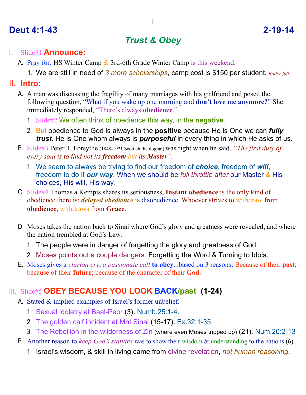## **Deut 4:1-43 2-19-14**

# *Trust & Obey*

#### I. Slide#1 **Announce:**

- A. Pray for: HS Winter Camp & 3rd-6th Grade Winter Camp is this weekend.
	- 1. We are still in need of *3 more scholarships*, camp cost is \$150 per student. *Both r full.*

#### II. **Intro:**

- A. A man was discussing the fragility of many marriages with his girlfriend and posed the following question, "What if you wake up one morning and **don't love me anymore?**" She immediately responded, "There's always **obedience**."
	- 1. Slide#2 We often think of obedience this way, in the **negative**.
	- 2. But obedience to God is always in the **positive** because He is One we can *fully trust*. He is One whom always is *purposeful* in every thing in which He asks of us.
- B. Slide#3 Peter T. Forsythe (1848-1921 Scottish theologian) was right when he said, *"The first duty of every soul is to find not its freedom but its Master".*
	- 1. We seem to always be trying to find our freedom of *choice*, freedom of *will*, freedom to do it *our way*. When we should be *full throttle after* our Master & His choices, His will, His way.
- C. Slide#4 Thomas a Kempis shares its seriousness, **Instant obedience** is the only kind of obedience there is; *delayed obedience* is disobedience. Whoever strives to withdraw from **obedience**, withdraws from **Grace**.
- D. Moses takes the nation back to Sinai where God's glory and greatness were revealed, and where the nation trembled at God's Law.
	- 1. The people were in danger of forgetting the glory and greatness of God.
	- 2. Moses points out a couple dangers: Forgetting the Word & Turning to Idols.
- E. Moses gives a *clarion cry*, *a passionate call* **to obey**...based on 3 reasons: Because of their **past**; because of their **future**; because of the character of their **God**.

### III. Slide#5 **OBEY BECAUSE YOU LOOK BACK/past (1-24)**

- A. Stated & implied examples of Israel's former unbelief.
	- 1. Sexual idolatry at Baal-Peor (3). Numb.25:1-4.
	- 2. The golden calf incident at Mnt Sinai (15-17). Ex.32:1-35.
	- 3. The Rebellion in the wilderness of Zin (where even Moses tripped up) (21). Num.20:2-13
- B. Another reason to *keep God's statutes* was to show their wisdom & understanding to the nations (6)
	- 1. Israel's wisdom, & skill in living,came from divine revelation, *not human reasoning*.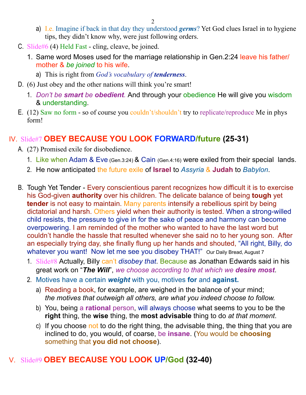- a) I.e. Imagine if back in that day they understood *germs*? Yet God clues Israel in to hygiene tips, they didn't know why, were just following orders.
- C. Slide#6 (4) Held Fast cling, cleave, be joined.
	- 1. Same word Moses used for the marriage relationship in Gen.2:24 leave his father/ mother & *be joined* to his wife.
		- a) This is right from *God's vocabulary of tenderness*.
- D. (6) Just obey and the other nations will think you're smart!
	- 1. *Don't be smart be obedient.* And through your obedience He will give you wisdom & understanding.
- E. (12) Saw no form so of course you couldn't/shouldn't try to replicate/reproduce Me in phys form!

#### IV. Slide#7 **OBEY BECAUSE YOU LOOK FORWARD/future (25-31)**

- A. (27) Promised exile for disobedience.
	- 1. Like when Adam & Eve (Gen.3:24) & Cain (Gen.4:16) were exiled from their special lands.
	- 2. He now anticipated the future exile of **Israel** to *Assyria* & **Judah** to *Babylon*.
- B. Tough Yet Tender Every conscientious parent recognizes how difficult it is to exercise his God-given **authority** over his children. The delicate balance of being **tough** yet **tender** is not easy to maintain. Many parents intensify a rebellious spirit by being dictatorial and harsh. Others yield when their authority is tested. When a strong-willed child resists, the pressure to give in for the sake of peace and harmony can become overpowering. I am reminded of the mother who wanted to have the last word but couldn't handle the hassle that resulted whenever she said no to her young son. After an especially trying day, she finally flung up her hands and shouted, "All right, Billy, do whatever you want! Now let me see you disobey THAT!" Our Daily Bread, August 7
	- 1. Slide#8 Actually, Billy can't *disobey that*. Because as Jonathan Edwards said in his great work on "*The Will*", *we choose according to that which we desire most*.
	- 2. Motives have a certain *weight* with you, motives **for** and **against.**
		- a) Reading a book, for example, are weighed in the balance of your mind; *the motives that outweigh all others, are what you indeed choose to follow.*
		- b) You, being a **rational** person, will always choose what seems to you to be the **right** thing, the **wise** thing, the **most advisable** thing to do *at that moment*.
		- c) If you choose not to do the right thing, the advisable thing, the thing that you are inclined to do, you would, of coarse, be **insane**. (You would be **choosing** something that **you did not choose**).

### V. Slide#9 **OBEY BECAUSE YOU LOOK UP/God (32-40)**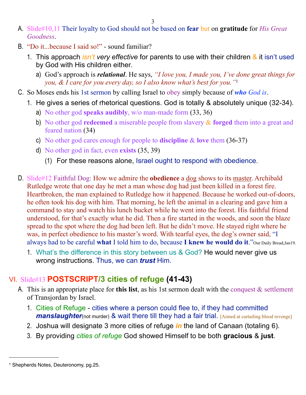- A. Slide#10,11 Their loyalty to God should not be based on **fear** but on **gratitude** for *His Great Goodness*.
- B. "Do it...because I said so!" sound familiar?
	- 1. This approach *isn't very effective* for parents to use with their children & it isn't used by God with His children either.
		- a) God's approach is *relational*. He says, *"I love you, I made you, I've done great things for you, & I care for you every day, so I also know what's best for you."*[1](#page-2-0)
- C. So Moses ends his 1st sermon by calling Israel to obey simply because of *who God is*.
	- 1. He gives a series of rhetorical questions. God is totally & absolutely unique (32-34).
		- a) No other god **speaks audibly**, w/o man-made form (33, 36)
		- b) No other god **redeemed** a miserable people from slavery & **forged** them into a great and feared nation (34)
		- c) No other god cares enough for people to **discipline** & **love** them (36-37)
		- d) No other god in fact, even **exists** (35, 39)
			- (1) For these reasons alone, Israel ought to respond with obedience.
- D. Slide#12 Faithful Dog: How we admire the **obedience** a dog shows to its master. Archibald Rutledge wrote that one day he met a man whose dog had just been killed in a forest fire. Heartbroken, the man explained to Rutledge how it happened. Because he worked out-of-doors, he often took his dog with him. That morning, he left the animal in a clearing and gave him a command to stay and watch his lunch bucket while he went into the forest. His faithful friend understood, for that's exactly what he did. Then a fire started in the woods, and soon the blaze spread to the spot where the dog had been left. But he didn't move. He stayed right where he was, in perfect obedience to his master's word. With tearful eyes, the dog's owner said, "I always had to be careful **what** I told him to do, because **I knew he would do it**."Our Daily Bread,Jan19.
	- 1. What's the difference in this story between us & God? He would never give us wrong instructions. Thus, we can *trust* Him.

### VI. Slide#13 **POSTSCRIPT/3 cities of refuge (41-43)**

- A. This is an appropriate place for **this list**, as his 1st sermon dealt with the conquest & settlement of Transjordan by Israel.
	- 1. Cities of Refuge cities where a person could flee to, if they had committed *manslaughter*(not murder) & wait there till they had a fair trial. [Aimed at curtailing blood revenge]
	- 2. Joshua will designate 3 more cities of refuge *in* the land of Canaan (totaling 6).
	- 3. By providing *cities of refuge* God showed Himself to be both **gracious** & **just**.

<span id="page-2-0"></span><sup>1</sup> Shepherds Notes, Deuteronomy, pg.25.